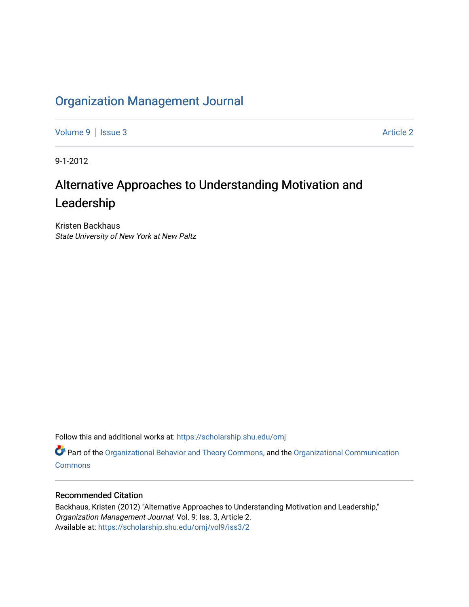# [Organization Management Journal](https://scholarship.shu.edu/omj)

[Volume 9](https://scholarship.shu.edu/omj/vol9) | [Issue 3](https://scholarship.shu.edu/omj/vol9/iss3) Article 2

9-1-2012

# Alternative Approaches to Understanding Motivation and Leadership

Kristen Backhaus State University of New York at New Paltz

Follow this and additional works at: [https://scholarship.shu.edu/omj](https://scholarship.shu.edu/omj?utm_source=scholarship.shu.edu%2Fomj%2Fvol9%2Fiss3%2F2&utm_medium=PDF&utm_campaign=PDFCoverPages) 

Part of the [Organizational Behavior and Theory Commons,](http://network.bepress.com/hgg/discipline/639?utm_source=scholarship.shu.edu%2Fomj%2Fvol9%2Fiss3%2F2&utm_medium=PDF&utm_campaign=PDFCoverPages) and the [Organizational Communication](http://network.bepress.com/hgg/discipline/335?utm_source=scholarship.shu.edu%2Fomj%2Fvol9%2Fiss3%2F2&utm_medium=PDF&utm_campaign=PDFCoverPages) **[Commons](http://network.bepress.com/hgg/discipline/335?utm_source=scholarship.shu.edu%2Fomj%2Fvol9%2Fiss3%2F2&utm_medium=PDF&utm_campaign=PDFCoverPages)** 

### Recommended Citation

Backhaus, Kristen (2012) "Alternative Approaches to Understanding Motivation and Leadership," Organization Management Journal: Vol. 9: Iss. 3, Article 2. Available at: [https://scholarship.shu.edu/omj/vol9/iss3/2](https://scholarship.shu.edu/omj/vol9/iss3/2?utm_source=scholarship.shu.edu%2Fomj%2Fvol9%2Fiss3%2F2&utm_medium=PDF&utm_campaign=PDFCoverPages)